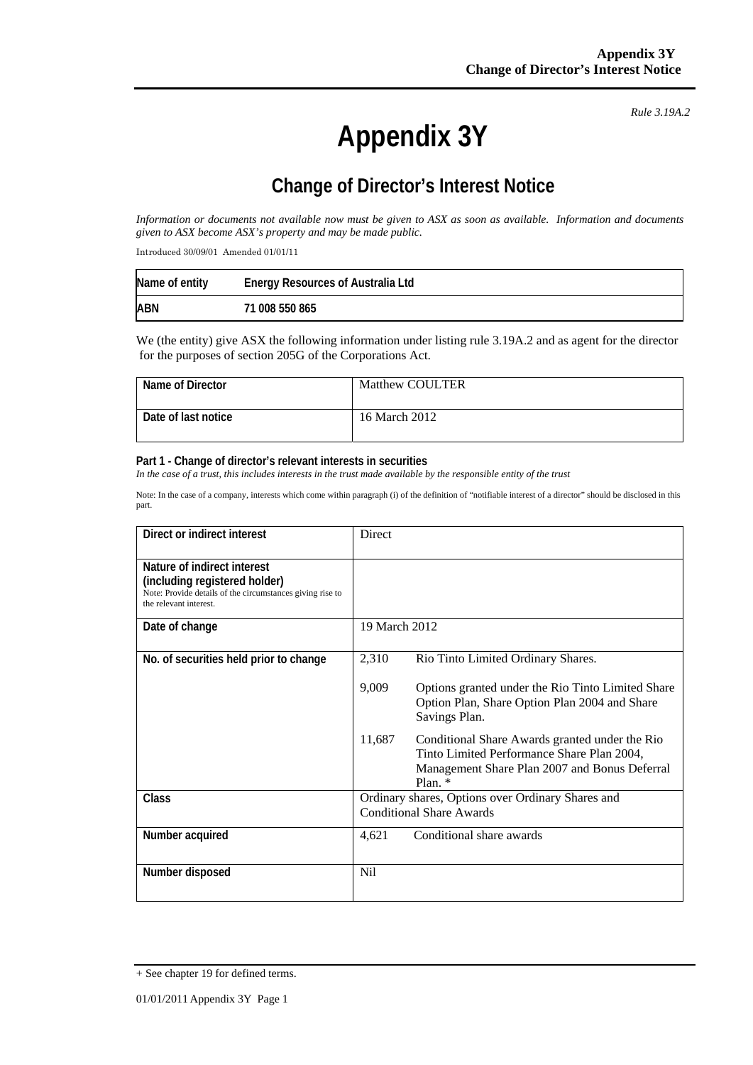# **Appendix 3Y**

*Rule 3.19A.2*

# **Change of Director's Interest Notice**

*Information or documents not available now must be given to ASX as soon as available. Information and documents given to ASX become ASX's property and may be made public.* 

Introduced 30/09/01 Amended 01/01/11

| Name of entity | <b>Energy Resources of Australia Ltd</b> |
|----------------|------------------------------------------|
| <b>ABN</b>     | 71 008 550 865                           |

We (the entity) give ASX the following information under listing rule 3.19A.2 and as agent for the director for the purposes of section 205G of the Corporations Act.

| Name of Director    | Matthew COULTER |
|---------------------|-----------------|
| Date of last notice | 16 March 2012   |

#### **Part 1 - Change of director's relevant interests in securities**

*In the case of a trust, this includes interests in the trust made available by the responsible entity of the trust* 

Note: In the case of a company, interests which come within paragraph (i) of the definition of "notifiable interest of a director" should be disclosed in this part.

| Direct or indirect interest                                                                                                                         | Direct        |                                                                                                                                                          |
|-----------------------------------------------------------------------------------------------------------------------------------------------------|---------------|----------------------------------------------------------------------------------------------------------------------------------------------------------|
| Nature of indirect interest<br>(including registered holder)<br>Note: Provide details of the circumstances giving rise to<br>the relevant interest. |               |                                                                                                                                                          |
| Date of change                                                                                                                                      | 19 March 2012 |                                                                                                                                                          |
| No. of securities held prior to change                                                                                                              | 2,310         | Rio Tinto Limited Ordinary Shares.                                                                                                                       |
|                                                                                                                                                     | 9,009         | Options granted under the Rio Tinto Limited Share<br>Option Plan, Share Option Plan 2004 and Share<br>Savings Plan.                                      |
|                                                                                                                                                     | 11,687        | Conditional Share Awards granted under the Rio<br>Tinto Limited Performance Share Plan 2004,<br>Management Share Plan 2007 and Bonus Deferral<br>Plan. * |
| <b>Class</b>                                                                                                                                        |               | Ordinary shares, Options over Ordinary Shares and<br><b>Conditional Share Awards</b>                                                                     |
| Number acquired                                                                                                                                     | 4,621         | Conditional share awards                                                                                                                                 |
| Number disposed                                                                                                                                     | <b>Nil</b>    |                                                                                                                                                          |

<sup>+</sup> See chapter 19 for defined terms.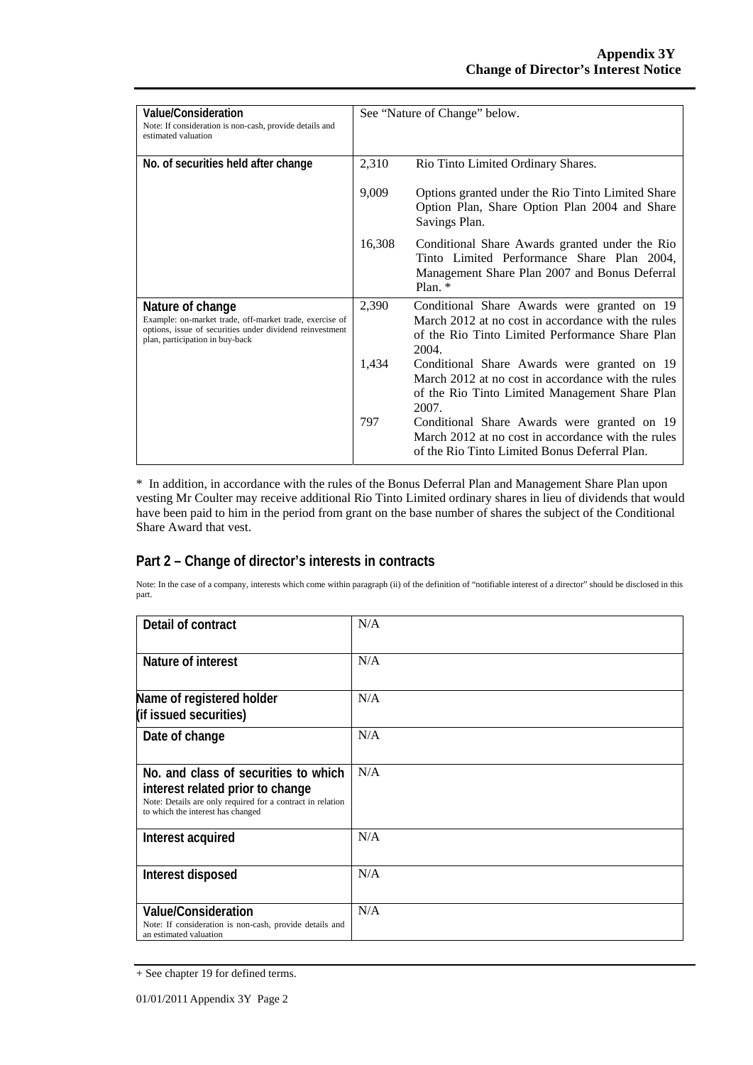| <b>Value/Consideration</b>                                                                                                                                                 |        |                                                                                                                                                               |
|----------------------------------------------------------------------------------------------------------------------------------------------------------------------------|--------|---------------------------------------------------------------------------------------------------------------------------------------------------------------|
| Note: If consideration is non-cash, provide details and<br>estimated valuation                                                                                             |        | See "Nature of Change" below.                                                                                                                                 |
| No. of securities held after change                                                                                                                                        | 2,310  | Rio Tinto Limited Ordinary Shares.                                                                                                                            |
|                                                                                                                                                                            | 9,009  | Options granted under the Rio Tinto Limited Share<br>Option Plan, Share Option Plan 2004 and Share<br>Savings Plan.                                           |
|                                                                                                                                                                            | 16,308 | Conditional Share Awards granted under the Rio<br>Tinto Limited Performance Share Plan 2004,<br>Management Share Plan 2007 and Bonus Deferral<br>Plan.        |
| Nature of change<br>Example: on-market trade, off-market trade, exercise of<br>options, issue of securities under dividend reinvestment<br>plan, participation in buy-back | 2,390  | Conditional Share Awards were granted on 19<br>March 2012 at no cost in accordance with the rules<br>of the Rio Tinto Limited Performance Share Plan<br>2004. |
|                                                                                                                                                                            | 1,434  | Conditional Share Awards were granted on 19<br>March 2012 at no cost in accordance with the rules<br>of the Rio Tinto Limited Management Share Plan<br>2007.  |
|                                                                                                                                                                            | 797    | Conditional Share Awards were granted on 19<br>March 2012 at no cost in accordance with the rules<br>of the Rio Tinto Limited Bonus Deferral Plan.            |

\* In addition, in accordance with the rules of the Bonus Deferral Plan and Management Share Plan upon vesting Mr Coulter may receive additional Rio Tinto Limited ordinary shares in lieu of dividends that would have been paid to him in the period from grant on the base number of shares the subject of the Conditional Share Award that vest.

### **Part 2 – Change of director's interests in contracts**

Note: In the case of a company, interests which come within paragraph (ii) of the definition of "notifiable interest of a director" should be disclosed in this part.

| Detail of contract                                                                                                                                                          | N/A |
|-----------------------------------------------------------------------------------------------------------------------------------------------------------------------------|-----|
| Nature of interest                                                                                                                                                          | N/A |
| Name of registered holder<br>(if issued securities)                                                                                                                         | N/A |
| Date of change                                                                                                                                                              | N/A |
| No. and class of securities to which<br>interest related prior to change<br>Note: Details are only required for a contract in relation<br>to which the interest has changed | N/A |
| Interest acquired                                                                                                                                                           | N/A |
| Interest disposed                                                                                                                                                           | N/A |
| <b>Value/Consideration</b><br>Note: If consideration is non-cash, provide details and<br>an estimated valuation                                                             | N/A |

<sup>+</sup> See chapter 19 for defined terms.